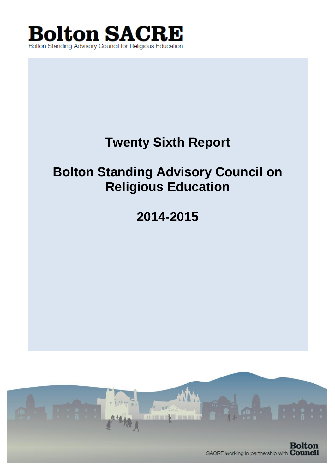

# **Twenty Sixth Report**

# **Bolton Standing Advisory Council on Religious Education**

**2014-2015**

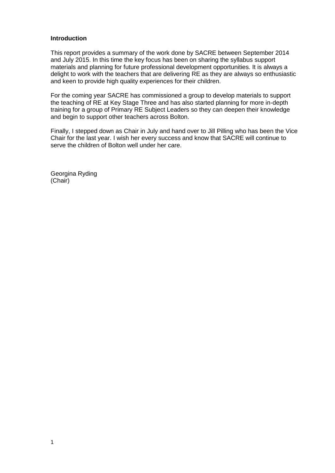#### **Introduction**

This report provides a summary of the work done by SACRE between September 2014 and July 2015. In this time the key focus has been on sharing the syllabus support materials and planning for future professional development opportunities. It is always a delight to work with the teachers that are delivering RE as they are always so enthusiastic and keen to provide high quality experiences for their children.

For the coming year SACRE has commissioned a group to develop materials to support the teaching of RE at Key Stage Three and has also started planning for more in-depth training for a group of Primary RE Subject Leaders so they can deepen their knowledge and begin to support other teachers across Bolton.

Finally, I stepped down as Chair in July and hand over to Jill Pilling who has been the Vice Chair for the last year. I wish her every success and know that SACRE will continue to serve the children of Bolton well under her care.

Georgina Ryding (Chair)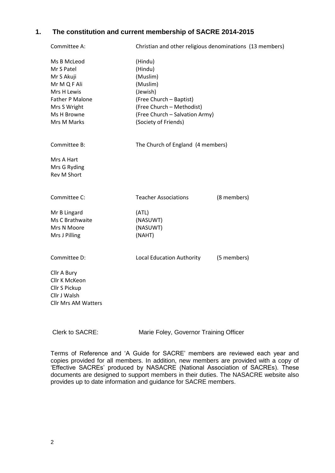# **1. The constitution and current membership of SACRE 2014-2015**

| Committee A:                                                                                                                            | Christian and other religious denominations (13 members)                                                                                                                 |             |
|-----------------------------------------------------------------------------------------------------------------------------------------|--------------------------------------------------------------------------------------------------------------------------------------------------------------------------|-------------|
| Ms B McLeod<br>Mr S Patel<br>Mr S Akuji<br>Mr M Q F Ali<br>Mrs H Lewis<br>Father P Malone<br>Mrs S Wright<br>Ms H Browne<br>Mrs M Marks | (Hindu)<br>(Hindu)<br>(Muslim)<br>(Muslim)<br>(Jewish)<br>(Free Church - Baptist)<br>(Free Church - Methodist)<br>(Free Church - Salvation Army)<br>(Society of Friends) |             |
| Committee B:                                                                                                                            | The Church of England (4 members)                                                                                                                                        |             |
| Mrs A Hart<br>Mrs G Ryding<br><b>Rev M Short</b>                                                                                        |                                                                                                                                                                          |             |
| Committee C:                                                                                                                            | <b>Teacher Associations</b>                                                                                                                                              | (8 members) |
| Mr B Lingard<br>Ms C Brathwaite<br>Mrs N Moore<br>Mrs J Pilling                                                                         | (ATL)<br>(NASUWT)<br>(NASUWT)<br>(NAHT)                                                                                                                                  |             |
| Committee D:                                                                                                                            | <b>Local Education Authority</b>                                                                                                                                         | (5 members) |
| Cllr A Bury<br>Cllr K McKeon<br>Cllr S Pickup<br>Cllr J Walsh<br><b>Cllr Mrs AM Watters</b>                                             |                                                                                                                                                                          |             |

Clerk to SACRE: Marie Foley, Governor Training Officer

Terms of Reference and 'A Guide for SACRE' members are reviewed each year and copies provided for all members. In addition, new members are provided with a copy of 'Effective SACREs' produced by NASACRE (National Association of SACREs). These documents are designed to support members in their duties. The NASACRE website also provides up to date information and guidance for SACRE members.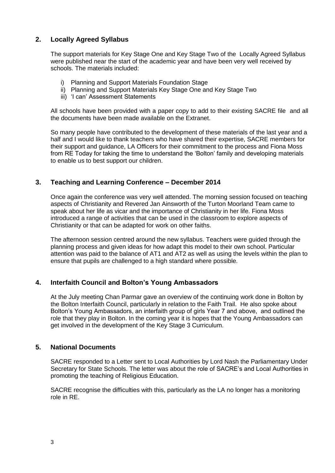# **2. Locally Agreed Syllabus**

The support materials for Key Stage One and Key Stage Two of the Locally Agreed Syllabus were published near the start of the academic year and have been very well received by schools. The materials included:

- i) Planning and Support Materials Foundation Stage
- ii) Planning and Support Materials Key Stage One and Key Stage Two
- iii) 'I can' Assessment Statements

All schools have been provided with a paper copy to add to their existing SACRE file and all the documents have been made available on the Extranet.

So many people have contributed to the development of these materials of the last year and a half and I would like to thank teachers who have shared their expertise, SACRE members for their support and guidance, LA Officers for their commitment to the process and Fiona Moss from RE Today for taking the time to understand the 'Bolton' family and developing materials to enable us to best support our children.

# **3. Teaching and Learning Conference – December 2014**

Once again the conference was very well attended. The morning session focused on teaching aspects of Christianity and Revered Jan Ainsworth of the Turton Moorland Team came to speak about her life as vicar and the importance of Christianity in her life. Fiona Moss introduced a range of activities that can be used in the classroom to explore aspects of Christianity or that can be adapted for work on other faiths.

The afternoon session centred around the new syllabus. Teachers were guided through the planning process and given ideas for how adapt this model to their own school. Particular attention was paid to the balance of AT1 and AT2 as well as using the levels within the plan to ensure that pupils are challenged to a high standard where possible.

## **4. Interfaith Council and Bolton's Young Ambassadors**

At the July meeting Chan Parmar gave an overview of the continuing work done in Bolton by the Bolton Interfaith Council, particularly in relation to the Faith Trail. He also spoke about Bolton's Young Ambassadors, an interfaith group of girls Year 7 and above, and outlined the role that they play in Bolton. In the coming year it is hopes that the Young Ambassadors can get involved in the development of the Key Stage 3 Curriculum.

## **5. National Documents**

SACRE responded to a Letter sent to Local Authorities by Lord Nash the Parliamentary Under Secretary for State Schools. The letter was about the role of SACRE's and Local Authorities in promoting the teaching of Religious Education.

SACRE recognise the difficulties with this, particularly as the LA no longer has a monitoring role in RE.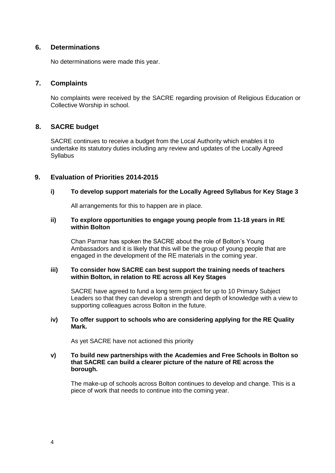## **6. Determinations**

No determinations were made this year.

## **7. Complaints**

No complaints were received by the SACRE regarding provision of Religious Education or Collective Worship in school.

## **8. SACRE budget**

SACRE continues to receive a budget from the Local Authority which enables it to undertake its statutory duties including any review and updates of the Locally Agreed **Syllabus** 

## **9. Evaluation of Priorities 2014-2015**

### **i) To develop support materials for the Locally Agreed Syllabus for Key Stage 3**

All arrangements for this to happen are in place.

#### **ii) To explore opportunities to engage young people from 11-18 years in RE within Bolton**

Chan Parmar has spoken the SACRE about the role of Bolton's Young Ambassadors and it is likely that this will be the group of young people that are engaged in the development of the RE materials in the coming year.

#### **iii) To consider how SACRE can best support the training needs of teachers within Bolton, in relation to RE across all Key Stages**

SACRE have agreed to fund a long term project for up to 10 Primary Subject Leaders so that they can develop a strength and depth of knowledge with a view to supporting colleagues across Bolton in the future.

#### **iv) To offer support to schools who are considering applying for the RE Quality Mark.**

As yet SACRE have not actioned this priority

#### **v) To build new partnerships with the Academies and Free Schools in Bolton so that SACRE can build a clearer picture of the nature of RE across the borough.**

The make-up of schools across Bolton continues to develop and change. This is a piece of work that needs to continue into the coming year.